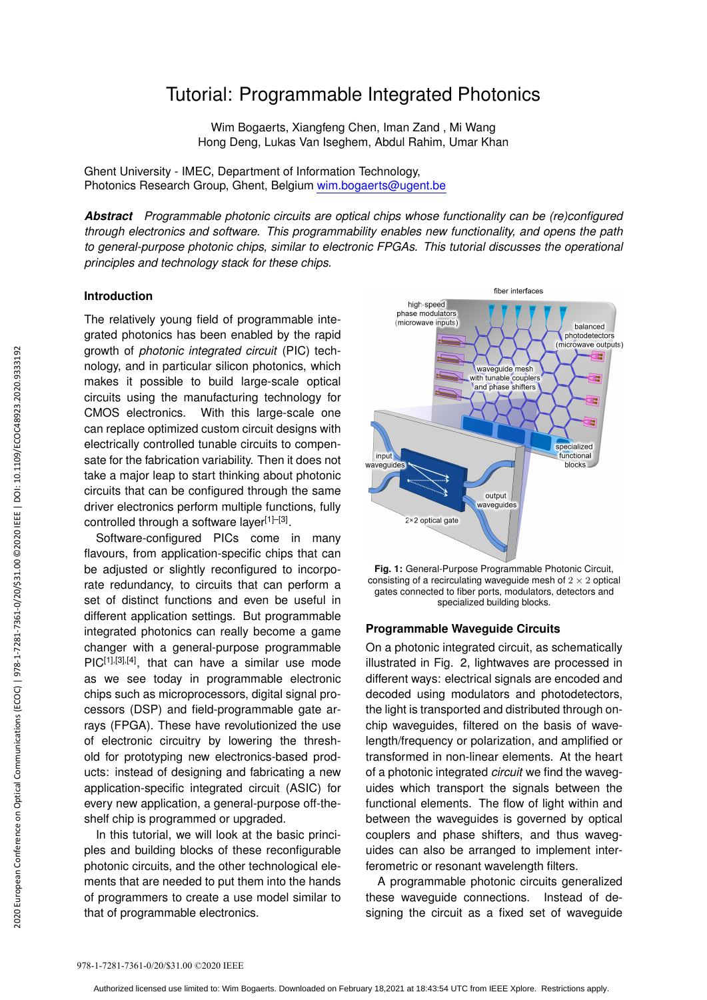# Tutorial: Programmable Integrated Photonics

Wim Bogaerts, Xiangfeng Chen, Iman Zand , Mi Wang Hong Deng, Lukas Van Iseghem, Abdul Rahim, Umar Khan

Ghent University - IMEC, Department of Information Technology, Photonics Research Group, Ghent, Belgium wim.bogaerts@ugent.be

*Abstract Programmable photonic circuits are optical chips whose functionality can be (re)configured through electronics and software. This programmability enables new functionality, and opens the path to general-purpose photonic chips, similar to electronic FPGAs. This tutorial discusses the operational principles and technology stack for these chips.*

## **Introduction**

The relatively young field of programmable integrated photonics has been enabled by the rapid growth of *photonic integrated circuit* (PIC) technology, and in particular silicon photonics, which makes it possible to build large-scale optical circuits using the manufacturing technology for CMOS electronics. With this large-scale one can replace optimized custom circuit designs with electrically controlled tunable circuits to compensate for the fabrication variability. Then it does not take a major leap to start thinking about photonic circuits that can be configured through the same driver electronics perform multiple functions, fully controlled through a software layer<sup>[1]-[3]</sup>.

Software-configured PICs come in many flavours, from application-specific chips that can be adjusted or slightly reconfigured to incorporate redundancy, to circuits that can perform a set of distinct functions and even be useful in different application settings. But programmable integrated photonics can really become a game changer with a general-purpose programmable PIC<sup>[1],[3],[4]</sup>, that can have a similar use mode as we see today in programmable electronic chips such as microprocessors, digital signal processors (DSP) and field-programmable gate arrays (FPGA). These have revolutionized the use of electronic circuitry by lowering the threshold for prototyping new electronics-based products: instead of designing and fabricating a new application-specific integrated circuit (ASIC) for every new application, a general-purpose off-theshelf chip is programmed or upgraded. 978 endeal modular slices on the produce integrated<br>nology, and in particular slices on the phanon circuits using the manufacturical controls electronics. With this can replace optimized custom in the same conference on Op

In this tutorial, we will look at the basic principles and building blocks of these reconfigurable photonic circuits, and the other technological elements that are needed to put them into the hands of programmers to create a use model similar to that of programmable electronics.



**Fig. 1:** General-Purpose Programmable Photonic Circuit, consisting of a recirculating waveguide mesh of  $2 \times 2$  optical gates connected to fiber ports, modulators, detectors and specialized building blocks.

## **Programmable Waveguide Circuits**

On a photonic integrated circuit, as schematically illustrated in Fig. 2, lightwaves are processed in different ways: electrical signals are encoded and decoded using modulators and photodetectors, the light is transported and distributed through onchip waveguides, filtered on the basis of wavelength/frequency or polarization, and amplified or transformed in non-linear elements. At the heart of a photonic integrated *circuit* we find the waveguides which transport the signals between the functional elements. The flow of light within and between the waveguides is governed by optical couplers and phase shifters, and thus waveguides can also be arranged to implement interferometric or resonant wavelength filters.

A programmable photonic circuits generalized these waveguide connections. Instead of designing the circuit as a fixed set of waveguide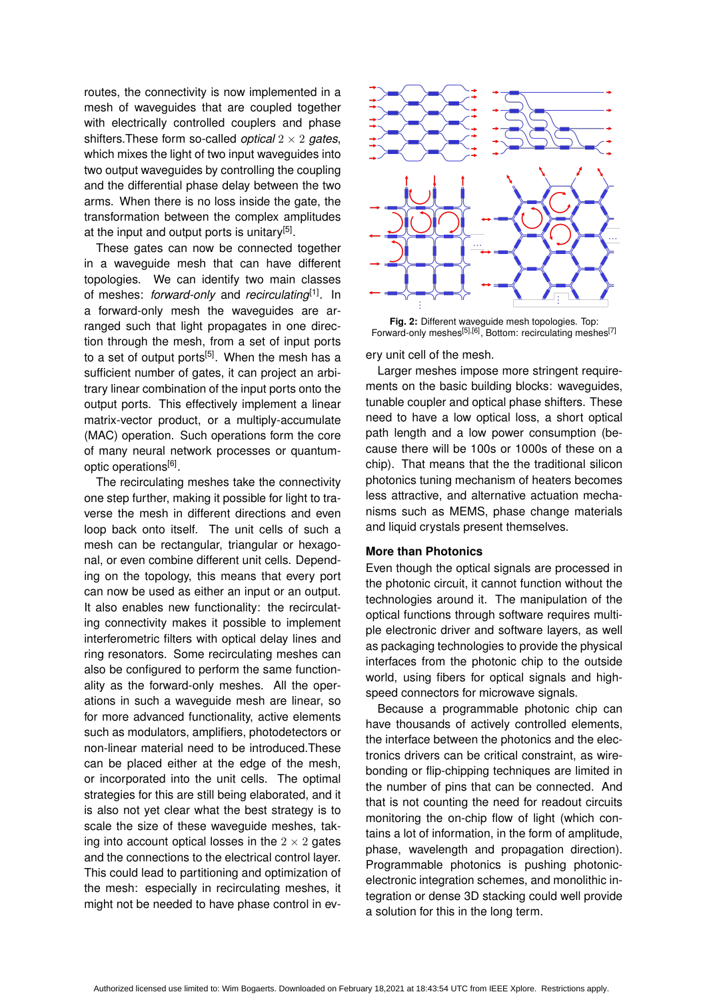routes, the connectivity is now implemented in a mesh of waveguides that are coupled together with electrically controlled couplers and phase shifters.These form so-called *optical* 2 × 2 *gates*, which mixes the light of two input waveguides into two output waveguides by controlling the coupling and the differential phase delay between the two arms. When there is no loss inside the gate, the transformation between the complex amplitudes at the input and output ports is unitary<sup>[5]</sup>.

These gates can now be connected together in a waveguide mesh that can have different topologies. We can identify two main classes of meshes: *forward-only* and *recirculating*[1]. In a forward-only mesh the waveguides are arranged such that light propagates in one direction through the mesh, from a set of input ports to a set of output ports<sup>[5]</sup>. When the mesh has a sufficient number of gates, it can project an arbitrary linear combination of the input ports onto the output ports. This effectively implement a linear matrix-vector product, or a multiply-accumulate (MAC) operation. Such operations form the core of many neural network processes or quantumoptic operations<sup>[6]</sup>.

The recirculating meshes take the connectivity one step further, making it possible for light to traverse the mesh in different directions and even loop back onto itself. The unit cells of such a mesh can be rectangular, triangular or hexagonal, or even combine different unit cells. Depending on the topology, this means that every port can now be used as either an input or an output. It also enables new functionality: the recirculating connectivity makes it possible to implement interferometric filters with optical delay lines and ring resonators. Some recirculating meshes can also be configured to perform the same functionality as the forward-only meshes. All the operations in such a waveguide mesh are linear, so for more advanced functionality, active elements such as modulators, amplifiers, photodetectors or non-linear material need to be introduced.These can be placed either at the edge of the mesh, or incorporated into the unit cells. The optimal strategies for this are still being elaborated, and it is also not yet clear what the best strategy is to scale the size of these waveguide meshes, taking into account optical losses in the  $2 \times 2$  gates and the connections to the electrical control layer. This could lead to partitioning and optimization of the mesh: especially in recirculating meshes, it might not be needed to have phase control in ev-



**Fig. 2:** Different waveguide mesh topologies. Top: Forward-only meshes<sup>[5],[6]</sup>, Bottom: recirculating meshes<sup>[7]</sup>

ery unit cell of the mesh.

Larger meshes impose more stringent requirements on the basic building blocks: wavequides, tunable coupler and optical phase shifters. These need to have a low optical loss, a short optical path length and a low power consumption (because there will be 100s or 1000s of these on a chip). That means that the the traditional silicon photonics tuning mechanism of heaters becomes less attractive, and alternative actuation mechanisms such as MEMS, phase change materials and liquid crystals present themselves.

### **More than Photonics**

Even though the optical signals are processed in the photonic circuit, it cannot function without the technologies around it. The manipulation of the optical functions through software requires multiple electronic driver and software layers, as well as packaging technologies to provide the physical interfaces from the photonic chip to the outside world, using fibers for optical signals and highspeed connectors for microwave signals.

Because a programmable photonic chip can have thousands of actively controlled elements, the interface between the photonics and the electronics drivers can be critical constraint, as wirebonding or flip-chipping techniques are limited in the number of pins that can be connected. And that is not counting the need for readout circuits monitoring the on-chip flow of light (which contains a lot of information, in the form of amplitude, phase, wavelength and propagation direction). Programmable photonics is pushing photonicelectronic integration schemes, and monolithic integration or dense 3D stacking could well provide a solution for this in the long term.